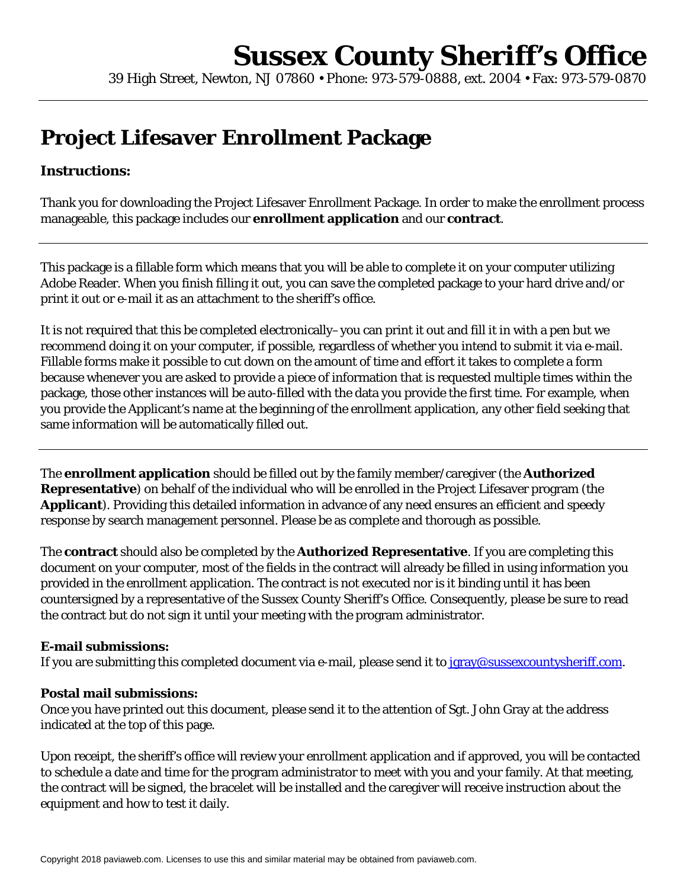39 High Street, Newton, NJ 07860 • Phone: 973-579-0888, ext. 2004 • Fax: 973-579-0870

# **Project Lifesaver Enrollment Package**

## **Instructions:**

Thank you for downloading the Project Lifesaver Enrollment Package. In order to make the enrollment process manageable, this package includes our **enrollment application** and our **contract**.

This package is a fillable form which means that you will be able to complete it on your computer utilizing Adobe Reader. When you finish filling it out, you can save the completed package to your hard drive and/or print it out or e-mail it as an attachment to the sheriff's office.

It is not required that this be completed electronically–you can print it out and fill it in with a pen but we recommend doing it on your computer, if possible, regardless of whether you intend to submit it via e-mail. Fillable forms make it possible to cut down on the amount of time and effort it takes to complete a form because whenever you are asked to provide a piece of information that is requested multiple times within the package, those other instances will be auto-filled with the data you provide the first time. For example, when you provide the Applicant's name at the beginning of the enrollment application, any other field seeking that same information will be automatically filled out.

The **enrollment application** should be filled out by the family member/caregiver (the **Authorized Representative**) on behalf of the individual who will be enrolled in the Project Lifesaver program (the **Applicant**). Providing this detailed information in advance of any need ensures an efficient and speedy response by search management personnel. Please be as complete and thorough as possible.

The **contract** should also be completed by the **Authorized Representative**. If you are completing this document on your computer, most of the fields in the contract will already be filled in using information you provided in the enrollment application. The contract is not executed nor is it binding until it has been countersigned by a representative of the Sussex County Sheriff's Office. Consequently, please be sure to read the contract but do not sign it until your meeting with the program administrator.

## **E-mail submissions:**

If you are submitting this completed document via e-mail, please send it to jgray@sussexcountysheriff.com.

## **Postal mail submissions:**

Once you have printed out this document, please send it to the attention of Sgt. John Gray at the address indicated at the top of this page.

Upon receipt, the sheriff's office will review your enrollment application and if approved, you will be contacted to schedule a date and time for the program administrator to meet with you and your family. At that meeting, the contract will be signed, the bracelet will be installed and the caregiver will receive instruction about the equipment and how to test it daily.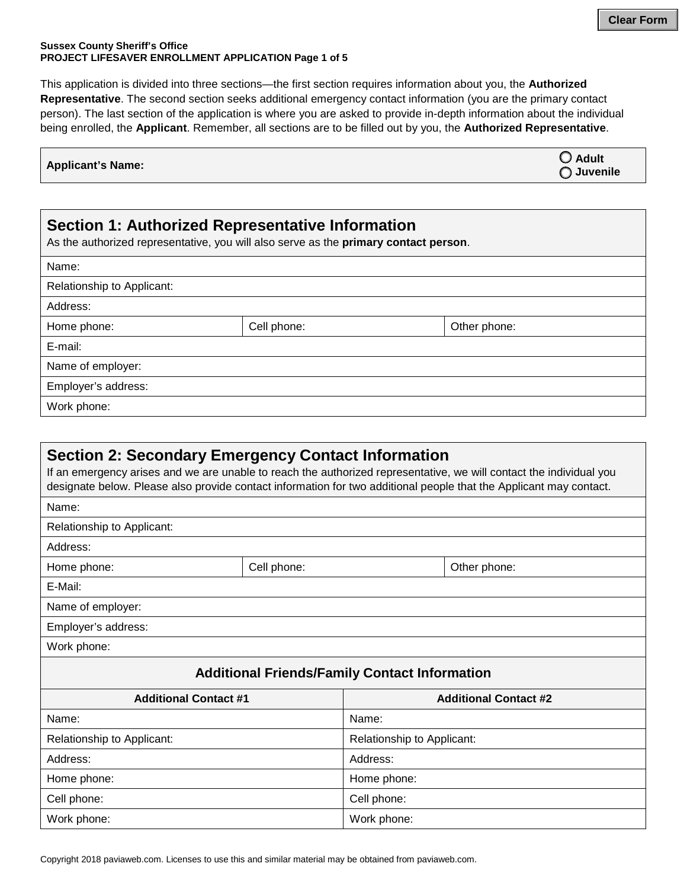#### **Sussex County Sheriff's Office PROJECT LIFESAVER ENROLLMENT APPLICATION Page 1 of 5**

This application is divided into three sections—the first section requires information about you, the **Authorized Representative**. The second section seeks additional emergency contact information (you are the primary contact person). The last section of the application is where you are asked to provide in-depth information about the individual being enrolled, the **Applicant**. Remember, all sections are to be filled out by you, the **Authorized Representative**.

| <b>Applicant's Name:</b> | $\bigcirc$ Adult<br>O Juvenile |
|--------------------------|--------------------------------|

## **Section 1: Authorized Representative Information** As the authorized representative, you will also serve as the **primary contact person**. Name: Relationship to Applicant: Address: Home phone: Cell phone: Other phone: E-mail: Name of employer: Employer's address: Work phone:

| <b>Section 2: Secondary Emergency Contact Information</b><br>If an emergency arises and we are unable to reach the authorized representative, we will contact the individual you<br>designate below. Please also provide contact information for two additional people that the Applicant may contact. |             |                              |              |
|--------------------------------------------------------------------------------------------------------------------------------------------------------------------------------------------------------------------------------------------------------------------------------------------------------|-------------|------------------------------|--------------|
| Name:                                                                                                                                                                                                                                                                                                  |             |                              |              |
| Relationship to Applicant:                                                                                                                                                                                                                                                                             |             |                              |              |
| Address:                                                                                                                                                                                                                                                                                               |             |                              |              |
| Home phone:                                                                                                                                                                                                                                                                                            | Cell phone: |                              | Other phone: |
| E-Mail:                                                                                                                                                                                                                                                                                                |             |                              |              |
| Name of employer:                                                                                                                                                                                                                                                                                      |             |                              |              |
| Employer's address:                                                                                                                                                                                                                                                                                    |             |                              |              |
| Work phone:                                                                                                                                                                                                                                                                                            |             |                              |              |
| <b>Additional Friends/Family Contact Information</b>                                                                                                                                                                                                                                                   |             |                              |              |
| <b>Additional Contact #1</b>                                                                                                                                                                                                                                                                           |             | <b>Additional Contact #2</b> |              |
| Name:                                                                                                                                                                                                                                                                                                  |             | Name:                        |              |
| Relationship to Applicant:                                                                                                                                                                                                                                                                             |             | Relationship to Applicant:   |              |
| Address:                                                                                                                                                                                                                                                                                               |             | Address:                     |              |
| Home phone:                                                                                                                                                                                                                                                                                            |             | Home phone:                  |              |
| Cell phone:                                                                                                                                                                                                                                                                                            |             | Cell phone:                  |              |
| Work phone:                                                                                                                                                                                                                                                                                            |             | Work phone:                  |              |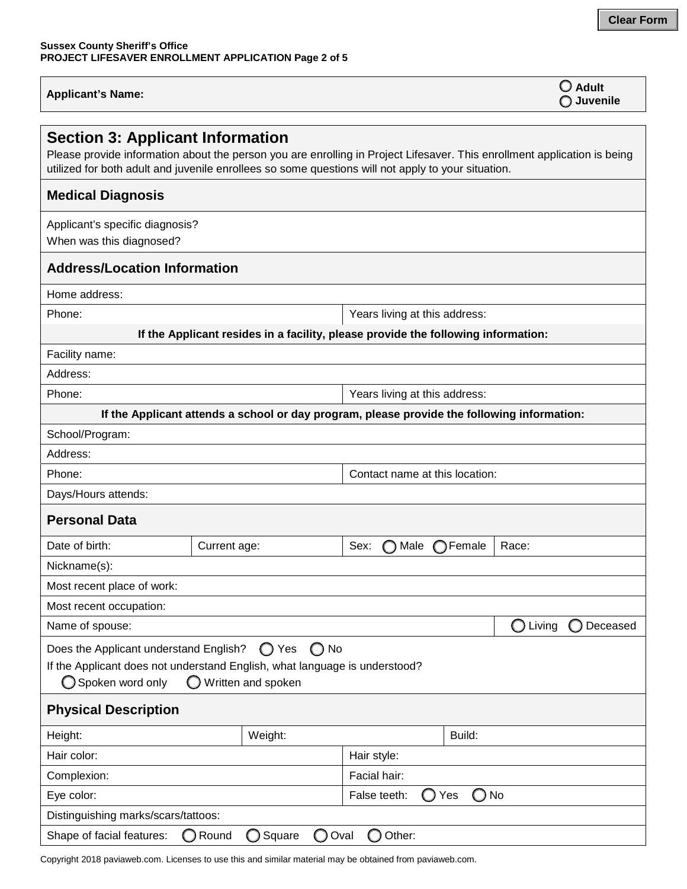#### **Applicant's Name:**

| $\mathbf{\mathsf{O}}$ Adult |
|-----------------------------|
| O Juvenile                  |

| <b>Section 3: Applicant Information</b><br>Please provide information about the person you are enrolling in Project Lifesaver. This enrollment application is being<br>utilized for both adult and juvenile enrollees so some questions will not apply to your situation. |                                                                                   |                                |          |       |                     |
|---------------------------------------------------------------------------------------------------------------------------------------------------------------------------------------------------------------------------------------------------------------------------|-----------------------------------------------------------------------------------|--------------------------------|----------|-------|---------------------|
| <b>Medical Diagnosis</b>                                                                                                                                                                                                                                                  |                                                                                   |                                |          |       |                     |
| Applicant's specific diagnosis?<br>When was this diagnosed?                                                                                                                                                                                                               |                                                                                   |                                |          |       |                     |
| <b>Address/Location Information</b>                                                                                                                                                                                                                                       |                                                                                   |                                |          |       |                     |
| Home address:                                                                                                                                                                                                                                                             |                                                                                   |                                |          |       |                     |
| Phone:                                                                                                                                                                                                                                                                    |                                                                                   | Years living at this address:  |          |       |                     |
|                                                                                                                                                                                                                                                                           | If the Applicant resides in a facility, please provide the following information: |                                |          |       |                     |
| Facility name:                                                                                                                                                                                                                                                            |                                                                                   |                                |          |       |                     |
| Address:                                                                                                                                                                                                                                                                  |                                                                                   |                                |          |       |                     |
| Phone:                                                                                                                                                                                                                                                                    |                                                                                   | Years living at this address:  |          |       |                     |
| If the Applicant attends a school or day program, please provide the following information:                                                                                                                                                                               |                                                                                   |                                |          |       |                     |
| School/Program:                                                                                                                                                                                                                                                           |                                                                                   |                                |          |       |                     |
| Address:                                                                                                                                                                                                                                                                  |                                                                                   |                                |          |       |                     |
| Phone:                                                                                                                                                                                                                                                                    |                                                                                   | Contact name at this location: |          |       |                     |
| Days/Hours attends:                                                                                                                                                                                                                                                       |                                                                                   |                                |          |       |                     |
| <b>Personal Data</b>                                                                                                                                                                                                                                                      |                                                                                   |                                |          |       |                     |
| Date of birth:<br>Current age:                                                                                                                                                                                                                                            |                                                                                   | Male<br>Sex:                   | ◯ Female | Race: |                     |
| Nickname(s):                                                                                                                                                                                                                                                              |                                                                                   |                                |          |       |                     |
| Most recent place of work:                                                                                                                                                                                                                                                |                                                                                   |                                |          |       |                     |
| Most recent occupation:                                                                                                                                                                                                                                                   |                                                                                   |                                |          |       |                     |
| Name of spouse:                                                                                                                                                                                                                                                           |                                                                                   |                                |          |       | ◯ Living ◯ Deceased |
| $\bigcirc$ Yes<br>Does the Applicant understand English?<br>$\bigcap$ No<br>If the Applicant does not understand English, what language is understood?<br>Spoken word only<br>Written and spoken                                                                          |                                                                                   |                                |          |       |                     |
| <b>Physical Description</b>                                                                                                                                                                                                                                               |                                                                                   |                                |          |       |                     |
| Height:                                                                                                                                                                                                                                                                   | Weight:                                                                           |                                | Build:   |       |                     |
| Hair color:                                                                                                                                                                                                                                                               |                                                                                   | Hair style:                    |          |       |                     |
| Facial hair:<br>Complexion:                                                                                                                                                                                                                                               |                                                                                   |                                |          |       |                     |
| $\bigcirc$ No<br>False teeth:<br>$\bigcirc$ Yes<br>Eye color:                                                                                                                                                                                                             |                                                                                   |                                |          |       |                     |
| Distinguishing marks/scars/tattoos:                                                                                                                                                                                                                                       |                                                                                   |                                |          |       |                     |
| Shape of facial features:<br>◯ Round                                                                                                                                                                                                                                      | Square<br>O                                                                       | $\bigcirc$ Other:<br>Oval      |          |       |                     |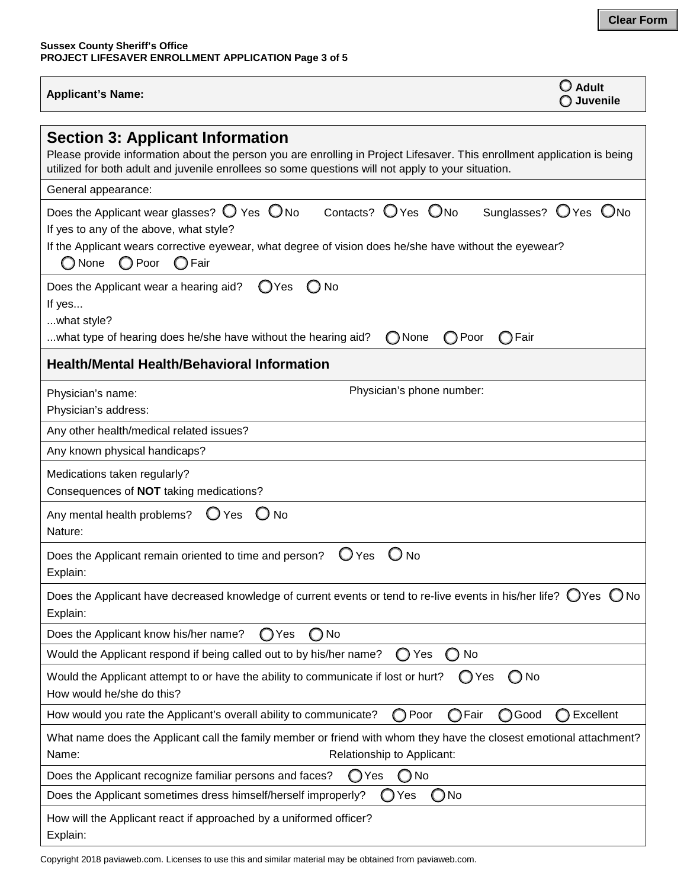#### **Sussex County Sheriff's Office PROJECT LIFESAVER ENROLLMENT APPLICATION Page 3 of 5**

## **Applicant's Name: Adult Adult Adult Adult Adult Adult Adult Adult Adult Adult Adult Adult**

**Juvenile**

| <b>Section 3: Applicant Information</b><br>Please provide information about the person you are enrolling in Project Lifesaver. This enrollment application is being<br>utilized for both adult and juvenile enrollees so some questions will not apply to your situation.                                        |
|------------------------------------------------------------------------------------------------------------------------------------------------------------------------------------------------------------------------------------------------------------------------------------------------------------------|
| General appearance:                                                                                                                                                                                                                                                                                              |
| Does the Applicant wear glasses? $\bigcirc$ Yes $\bigcirc$ No<br>Contacts? OYes ONo<br>Sunglasses? OYes ONo<br>If yes to any of the above, what style?<br>If the Applicant wears corrective eyewear, what degree of vision does he/she have without the eyewear?<br>◯ None<br>$\bigcirc$ Poor<br>$\bigcirc$ Fair |
| Does the Applicant wear a hearing aid?<br>$\bigcirc$ Yes<br>( ) No<br>If yes<br>what style?<br>Poor<br>what type of hearing does he/she have without the hearing aid?<br>◯ None<br>Fair<br>( )                                                                                                                   |
| <b>Health/Mental Health/Behavioral Information</b>                                                                                                                                                                                                                                                               |
| Physician's phone number:<br>Physician's name:<br>Physician's address:                                                                                                                                                                                                                                           |
| Any other health/medical related issues?                                                                                                                                                                                                                                                                         |
| Any known physical handicaps?                                                                                                                                                                                                                                                                                    |
| Medications taken regularly?<br>Consequences of NOT taking medications?                                                                                                                                                                                                                                          |
| Any mental health problems?<br>No<br>O<br>Yes<br>Nature:                                                                                                                                                                                                                                                         |
| $\bigcup$ Yes<br><b>No</b><br>Does the Applicant remain oriented to time and person?<br>Explain:                                                                                                                                                                                                                 |
| Does the Applicant have decreased knowledge of current events or tend to re-live events in his/her life? $\bigcirc$ Yes $\bigcirc$<br>'No<br>Explain:                                                                                                                                                            |
| Does the Applicant know his/her name?<br>No<br>Yes                                                                                                                                                                                                                                                               |
| Would the Applicant respond if being called out to by his/her name?<br>No<br>$\bigcirc$ Yes                                                                                                                                                                                                                      |
| $\bigcirc$ Yes<br>$\bigcirc$ No<br>Would the Applicant attempt to or have the ability to communicate if lost or hurt?<br>How would he/she do this?                                                                                                                                                               |
| ◯ Poor<br>$\bigcap$ Fair<br>○Good<br>Excellent<br>How would you rate the Applicant's overall ability to communicate?                                                                                                                                                                                             |
| What name does the Applicant call the family member or friend with whom they have the closest emotional attachment?<br>Relationship to Applicant:<br>Name:                                                                                                                                                       |
| $\bigcirc$ No<br>Does the Applicant recognize familiar persons and faces?<br>Yes<br>$\Box$                                                                                                                                                                                                                       |
| $\bigcirc$ No<br>Does the Applicant sometimes dress himself/herself improperly?<br>Yes<br>( )                                                                                                                                                                                                                    |
| How will the Applicant react if approached by a uniformed officer?<br>Explain:                                                                                                                                                                                                                                   |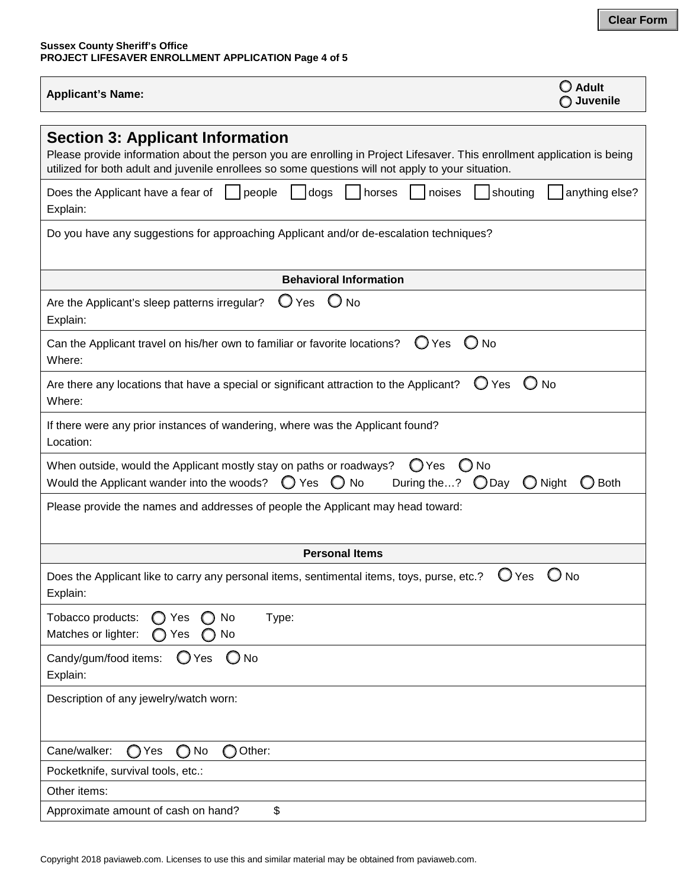#### **Sussex County Sheriff's Office PROJECT LIFESAVER ENROLLMENT APPLICATION Page 4 of 5**

| <b>Applicant's Name:</b>                                                                                                                                                                                                                                                  | $\bigcirc$ Adult<br>∩ Juvenile |
|---------------------------------------------------------------------------------------------------------------------------------------------------------------------------------------------------------------------------------------------------------------------------|--------------------------------|
|                                                                                                                                                                                                                                                                           |                                |
| <b>Section 3: Applicant Information</b><br>Please provide information about the person you are enrolling in Project Lifesaver. This enrollment application is being<br>utilized for both adult and juvenile enrollees so some questions will not apply to your situation. |                                |
| dogs<br>horses<br>shouting<br>Does the Applicant have a fear of<br>people<br>noises<br>Explain:                                                                                                                                                                           | anything else?                 |
| Do you have any suggestions for approaching Applicant and/or de-escalation techniques?                                                                                                                                                                                    |                                |
| <b>Behavioral Information</b>                                                                                                                                                                                                                                             |                                |
| $\bigcup$ Yes<br><b>No</b><br>Are the Applicant's sleep patterns irregular?<br>Explain:                                                                                                                                                                                   |                                |
| $\bigcirc$ Yes<br>$\bigcirc$ No<br>Can the Applicant travel on his/her own to familiar or favorite locations?<br>Where:                                                                                                                                                   |                                |
| $\bigcirc$ Yes<br>$\bigcirc$ No<br>Are there any locations that have a special or significant attraction to the Applicant?<br>Where:                                                                                                                                      |                                |
| If there were any prior instances of wandering, where was the Applicant found?<br>Location:                                                                                                                                                                               |                                |
| $\bigcirc$ Yes<br>$\bigcirc$ No<br>When outside, would the Applicant mostly stay on paths or roadways?<br>Would the Applicant wander into the woods?<br>No<br>$\bigcirc$ Yes<br>During the?<br>$\bigcirc$ Day<br>Э<br>()                                                  | Night<br><b>Both</b>           |
| Please provide the names and addresses of people the Applicant may head toward:                                                                                                                                                                                           |                                |
| <b>Personal Items</b>                                                                                                                                                                                                                                                     |                                |
| Does the Applicant like to carry any personal items, sentimental items, toys, purse, etc.?<br>Yes<br>Explain:                                                                                                                                                             | No                             |
| Tobacco products:<br>$\bigcap$ Yes<br>No<br>Type:<br>Matches or lighter:<br>Yes<br>No                                                                                                                                                                                     |                                |
| Candy/gum/food items:<br>$\bigcirc$ Yes<br>$\bigcirc$ No<br>Explain:                                                                                                                                                                                                      |                                |
| Description of any jewelry/watch worn:                                                                                                                                                                                                                                    |                                |
| Cane/walker:<br>Other:<br>$\bigcap$ Yes<br>$\bigcirc$ No                                                                                                                                                                                                                  |                                |
| Pocketknife, survival tools, etc.:                                                                                                                                                                                                                                        |                                |

Approximate amount of cash on hand? \$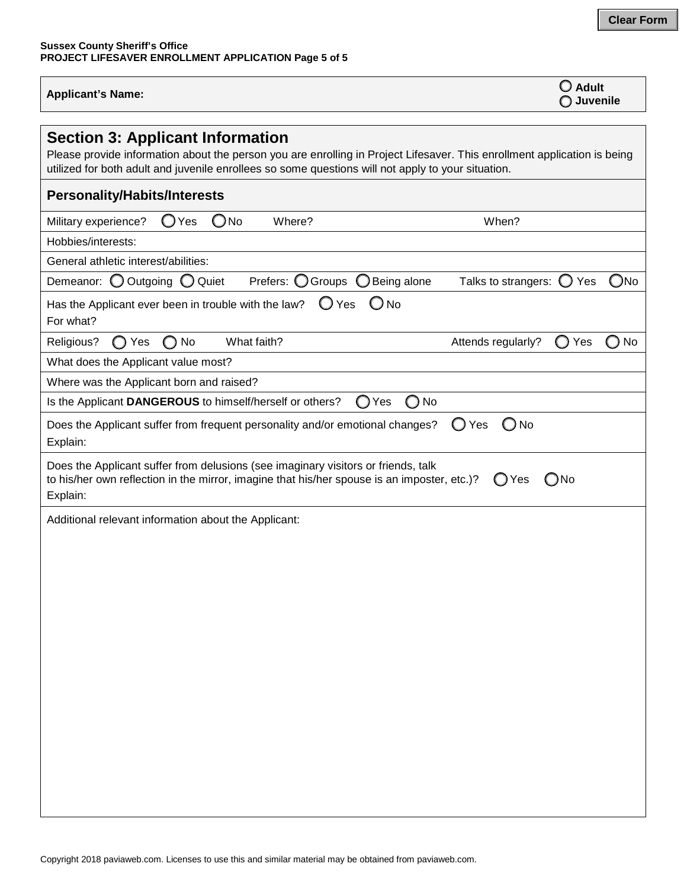**O** Adult<br>○ Juvenile

|                          | $\bigcirc$ Adult |
|--------------------------|------------------|
| <b>Applicant's Name:</b> | O Juver          |

| <b>Section 3: Applicant Information</b><br>Please provide information about the person you are enrolling in Project Lifesaver. This enrollment application is being<br>utilized for both adult and juvenile enrollees so some questions will not apply to your situation. |                                                       |
|---------------------------------------------------------------------------------------------------------------------------------------------------------------------------------------------------------------------------------------------------------------------------|-------------------------------------------------------|
| <b>Personality/Habits/Interests</b>                                                                                                                                                                                                                                       |                                                       |
| $\bigcirc$ No<br>Military experience?<br>$\bigcirc$ Yes<br>Where?                                                                                                                                                                                                         | When?                                                 |
| Hobbies/interests:                                                                                                                                                                                                                                                        |                                                       |
| General athletic interest/abilities:                                                                                                                                                                                                                                      |                                                       |
| Demeanor: $\bigcirc$ Outgoing $\bigcirc$ Quiet<br>Prefers: $\bigcirc$<br>Groups $\mathbb U$<br>Being alone                                                                                                                                                                | Talks to strangers:<br>$\bigcup$ Yes<br>$\bigcirc$ No |
| $\bigcirc$ No<br>Has the Applicant ever been in trouble with the law?<br>$\bigcirc$ Yes<br>For what?                                                                                                                                                                      |                                                       |
| Religious?<br>What faith?<br>No<br>Yes                                                                                                                                                                                                                                    | Attends regularly?<br>Yes<br>No                       |
| What does the Applicant value most?                                                                                                                                                                                                                                       |                                                       |
| Where was the Applicant born and raised?                                                                                                                                                                                                                                  |                                                       |
| Is the Applicant DANGEROUS to himself/herself or others?<br>Yes<br>No<br>( )                                                                                                                                                                                              |                                                       |
| Does the Applicant suffer from frequent personality and/or emotional changes?<br>Explain:                                                                                                                                                                                 | No<br>Yes<br>( )                                      |
| Does the Applicant suffer from delusions (see imaginary visitors or friends, talk<br>to his/her own reflection in the mirror, imagine that his/her spouse is an imposter, etc.)?<br>Explain:                                                                              | $\bigcirc$ No<br>◯ Yes                                |
| Additional relevant information about the Applicant:                                                                                                                                                                                                                      |                                                       |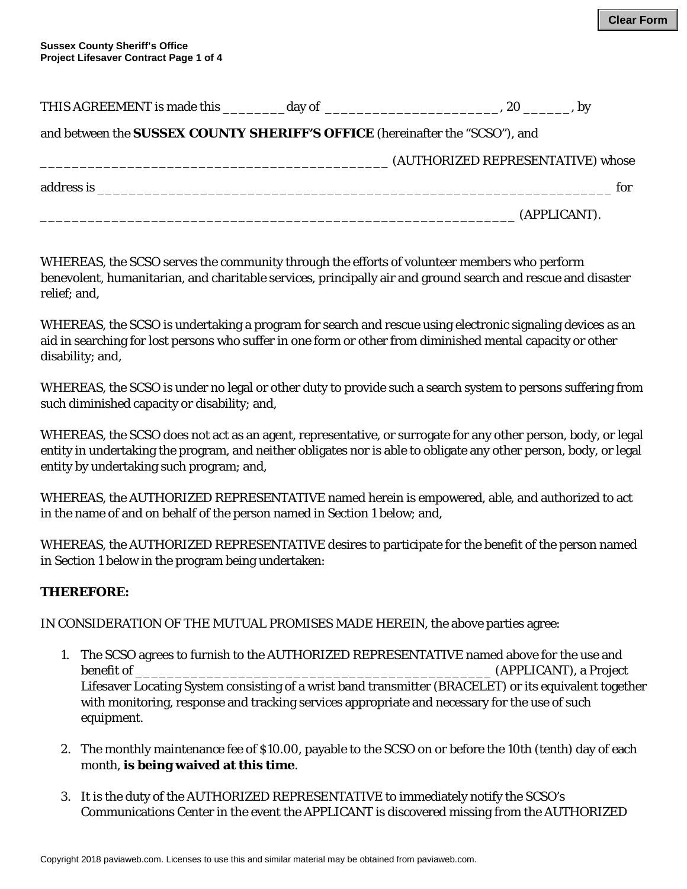| and between the SUSSEX COUNTY SHERIFF'S OFFICE (hereinafter the "SCSO"), and |                                   |
|------------------------------------------------------------------------------|-----------------------------------|
|                                                                              | (AUTHORIZED REPRESENTATIVE) whose |
| address is                                                                   | for                               |
|                                                                              | (APPLICANT).                      |

WHEREAS, the SCSO serves the community through the efforts of volunteer members who perform benevolent, humanitarian, and charitable services, principally air and ground search and rescue and disaster relief; and,

WHEREAS, the SCSO is undertaking a program for search and rescue using electronic signaling devices as an aid in searching for lost persons who suffer in one form or other from diminished mental capacity or other disability; and,

WHEREAS, the SCSO is under no legal or other duty to provide such a search system to persons suffering from such diminished capacity or disability; and,

WHEREAS, the SCSO does not act as an agent, representative, or surrogate for any other person, body, or legal entity in undertaking the program, and neither obligates nor is able to obligate any other person, body, or legal entity by undertaking such program; and,

WHEREAS, the AUTHORIZED REPRESENTATIVE named herein is empowered, able, and authorized to act in the name of and on behalf of the person named in Section 1 below; and,

WHEREAS, the AUTHORIZED REPRESENTATIVE desires to participate for the benefit of the person named in Section 1 below in the program being undertaken:

## **THEREFORE:**

IN CONSIDERATION OF THE MUTUAL PROMISES MADE HEREIN, the above parties agree:

- 1. The SCSO agrees to furnish to the AUTHORIZED REPRESENTATIVE named above for the use and benefit of the contract of the contract of the contract of the contract of the contract of the contract of the contract of the contract of the contract of the contract of the contract of the contract of the contract of the Lifesaver Locating System consisting of a wrist band transmitter (BRACELET) or its equivalent together with monitoring, response and tracking services appropriate and necessary for the use of such equipment.
- 2. The monthly maintenance fee of \$10.00, payable to the SCSO on or before the 10th (tenth) day of each month, **is being waived at this time**.
- 3. It is the duty of the AUTHORIZED REPRESENTATIVE to immediately notify the SCSO's Communications Center in the event the APPLICANT is discovered missing from the AUTHORIZED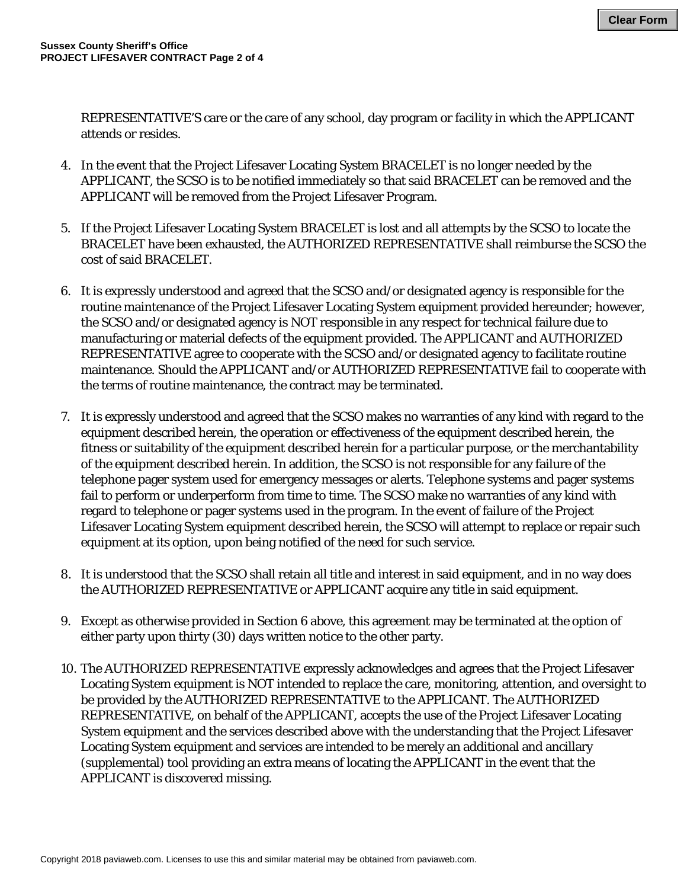REPRESENTATIVE'S care or the care of any school, day program or facility in which the APPLICANT attends or resides.

- 4. In the event that the Project Lifesaver Locating System BRACELET is no longer needed by the APPLICANT, the SCSO is to be notified immediately so that said BRACELET can be removed and the APPLICANT will be removed from the Project Lifesaver Program.
- 5. If the Project Lifesaver Locating System BRACELET is lost and all attempts by the SCSO to locate the BRACELET have been exhausted, the AUTHORIZED REPRESENTATIVE shall reimburse the SCSO the cost of said BRACELET.
- 6. It is expressly understood and agreed that the SCSO and/or designated agency is responsible for the routine maintenance of the Project Lifesaver Locating System equipment provided hereunder; however, the SCSO and/or designated agency is NOT responsible in any respect for technical failure due to manufacturing or material defects of the equipment provided. The APPLICANT and AUTHORIZED REPRESENTATIVE agree to cooperate with the SCSO and/or designated agency to facilitate routine maintenance. Should the APPLICANT and/or AUTHORIZED REPRESENTATIVE fail to cooperate with the terms of routine maintenance, the contract may be terminated.
- 7. It is expressly understood and agreed that the SCSO makes no warranties of any kind with regard to the equipment described herein, the operation or effectiveness of the equipment described herein, the fitness or suitability of the equipment described herein for a particular purpose, or the merchantability of the equipment described herein. In addition, the SCSO is not responsible for any failure of the telephone pager system used for emergency messages or alerts. Telephone systems and pager systems fail to perform or underperform from time to time. The SCSO make no warranties of any kind with regard to telephone or pager systems used in the program. In the event of failure of the Project Lifesaver Locating System equipment described herein, the SCSO will attempt to replace or repair such equipment at its option, upon being notified of the need for such service.
- 8. It is understood that the SCSO shall retain all title and interest in said equipment, and in no way does the AUTHORIZED REPRESENTATIVE or APPLICANT acquire any title in said equipment.
- 9. Except as otherwise provided in Section 6 above, this agreement may be terminated at the option of either party upon thirty (30) days written notice to the other party.
- 10. The AUTHORIZED REPRESENTATIVE expressly acknowledges and agrees that the Project Lifesaver Locating System equipment is NOT intended to replace the care, monitoring, attention, and oversight to be provided by the AUTHORIZED REPRESENTATIVE to the APPLICANT. The AUTHORIZED REPRESENTATIVE, on behalf of the APPLICANT, accepts the use of the Project Lifesaver Locating System equipment and the services described above with the understanding that the Project Lifesaver Locating System equipment and services are intended to be merely an additional and ancillary (supplemental) tool providing an extra means of locating the APPLICANT in the event that the APPLICANT is discovered missing.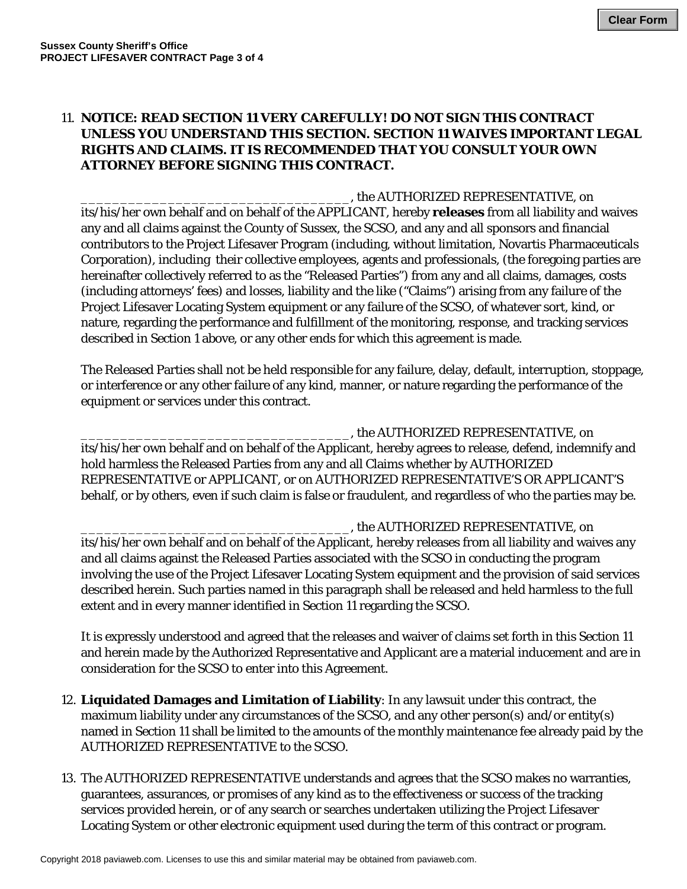### 11. **NOTICE: READ SECTION 11 VERY CAREFULLY! DO NOT SIGN THIS CONTRACT UNLESS YOU UNDERSTAND THIS SECTION. SECTION 11 WAIVES IMPORTANT LEGAL RIGHTS AND CLAIMS. IT IS RECOMMENDED THAT YOU CONSULT YOUR OWN ATTORNEY BEFORE SIGNING THIS CONTRACT.**

#### \_\_\_\_\_\_\_\_\_\_\_\_\_\_\_\_\_\_\_\_\_\_\_\_\_\_\_\_\_\_\_\_\_\_, the AUTHORIZED REPRESENTATIVE, on

its/his/her own behalf and on behalf of the APPLICANT, hereby **releases** from all liability and waives any and all claims against the County of Sussex, the SCSO, and any and all sponsors and financial contributors to the Project Lifesaver Program (including, without limitation, Novartis Pharmaceuticals Corporation), including their collective employees, agents and professionals, (the foregoing parties are hereinafter collectively referred to as the "Released Parties") from any and all claims, damages, costs (including attorneys' fees) and losses, liability and the like ("Claims") arising from any failure of the Project Lifesaver Locating System equipment or any failure of the SCSO, of whatever sort, kind, or nature, regarding the performance and fulfillment of the monitoring, response, and tracking services described in Section 1 above, or any other ends for which this agreement is made.

The Released Parties shall not be held responsible for any failure, delay, default, interruption, stoppage, or interference or any other failure of any kind, manner, or nature regarding the performance of the equipment or services under this contract.

\_\_\_\_\_\_\_\_\_\_\_\_\_\_\_\_\_\_\_\_\_\_\_\_\_\_\_\_\_\_\_\_\_\_, the AUTHORIZED REPRESENTATIVE, on its/his/her own behalf and on behalf of the Applicant, hereby agrees to release, defend, indemnify and hold harmless the Released Parties from any and all Claims whether by AUTHORIZED REPRESENTATIVE or APPLICANT, or on AUTHORIZED REPRESENTATIVE'S OR APPLICANT'S behalf, or by others, even if such claim is false or fraudulent, and regardless of who the parties may be.

\_\_\_\_\_\_\_\_\_\_\_\_\_\_\_\_\_\_\_\_\_\_\_\_\_\_\_\_\_\_\_\_\_\_, the AUTHORIZED REPRESENTATIVE, on its/his/her own behalf and on behalf of the Applicant, hereby releases from all liability and waives any and all claims against the Released Parties associated with the SCSO in conducting the program involving the use of the Project Lifesaver Locating System equipment and the provision of said services described herein. Such parties named in this paragraph shall be released and held harmless to the full extent and in every manner identified in Section 11 regarding the SCSO.

It is expressly understood and agreed that the releases and waiver of claims set forth in this Section 11 and herein made by the Authorized Representative and Applicant are a material inducement and are in consideration for the SCSO to enter into this Agreement.

- 12. **Liquidated Damages and Limitation of Liability**: In any lawsuit under this contract, the maximum liability under any circumstances of the SCSO, and any other person(s) and/or entity(s) named in Section 11 shall be limited to the amounts of the monthly maintenance fee already paid by the AUTHORIZED REPRESENTATIVE to the SCSO.
- 13. The AUTHORIZED REPRESENTATIVE understands and agrees that the SCSO makes no warranties, guarantees, assurances, or promises of any kind as to the effectiveness or success of the tracking services provided herein, or of any search or searches undertaken utilizing the Project Lifesaver Locating System or other electronic equipment used during the term of this contract or program.